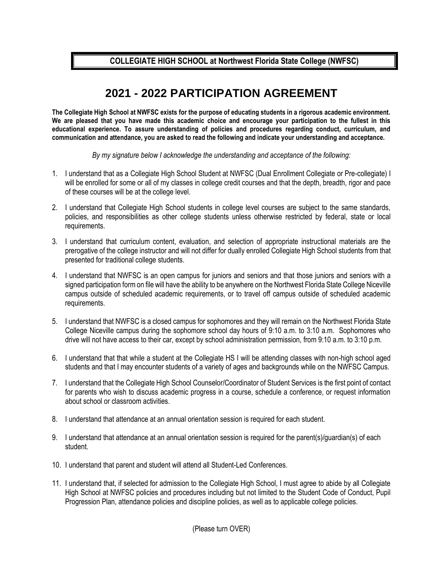**COLLEGIATE HIGH SCHOOL at Northwest Florida State College (NWFSC)** 

## **2021 - 2022 PARTICIPATION AGREEMENT**

**The Collegiate High School at NWFSC exists for the purpose of educating students in a rigorous academic environment. We are pleased that you have made this academic choice and encourage your participation to the fullest in this educational experience. To assure understanding of policies and procedures regarding conduct, curriculum, and communication and attendance, you are asked to read the following and indicate your understanding and acceptance.** 

*By my signature below I acknowledge the understanding and acceptance of the following:*

- 1. I understand that as a Collegiate High School Student at NWFSC (Dual Enrollment Collegiate or Pre-collegiate) I will be enrolled for some or all of my classes in college credit courses and that the depth, breadth, rigor and pace of these courses will be at the college level.
- 2. I understand that Collegiate High School students in college level courses are subject to the same standards, policies, and responsibilities as other college students unless otherwise restricted by federal, state or local requirements.
- 3. I understand that curriculum content, evaluation, and selection of appropriate instructional materials are the prerogative of the college instructor and will not differ for dually enrolled Collegiate High School students from that presented for traditional college students.
- 4. I understand that NWFSC is an open campus for juniors and seniors and that those juniors and seniors with a signed participation form on file will have the ability to be anywhere on the Northwest Florida State College Niceville campus outside of scheduled academic requirements, or to travel off campus outside of scheduled academic requirements.
- 5. I understand that NWFSC is a closed campus for sophomores and they will remain on the Northwest Florida State College Niceville campus during the sophomore school day hours of 9:10 a.m. to 3:10 a.m. Sophomores who drive will not have access to their car, except by school administration permission, from 9:10 a.m. to 3:10 p.m.
- 6. I understand that that while a student at the Collegiate HS I will be attending classes with non-high school aged students and that I may encounter students of a variety of ages and backgrounds while on the NWFSC Campus.
- 7. I understand that the Collegiate High School Counselor/Coordinator of Student Services is the first point of contact for parents who wish to discuss academic progress in a course, schedule a conference, or request information about school or classroom activities.
- 8. I understand that attendance at an annual orientation session is required for each student.
- 9. I understand that attendance at an annual orientation session is required for the parent(s)/guardian(s) of each student.
- 10. I understand that parent and student will attend all Student-Led Conferences.
- 11. I understand that, if selected for admission to the Collegiate High School, I must agree to abide by all Collegiate High School at NWFSC policies and procedures including but not limited to the Student Code of Conduct, Pupil Progression Plan, attendance policies and discipline policies, as well as to applicable college policies.